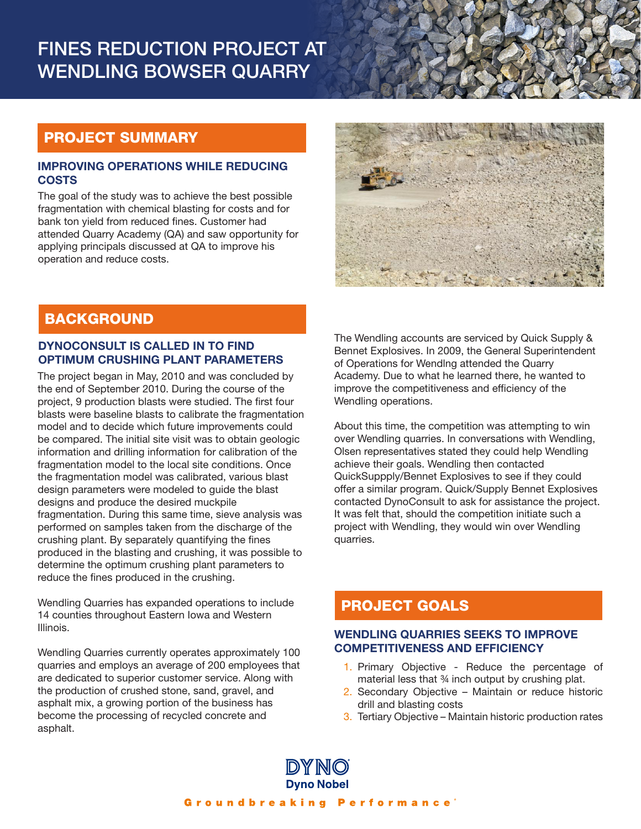# FINES REDUCTION PROJECT AT WENDLING BOWSER QUARRY

# PROJECT SUMMARY

#### IMPROVING OPERATIONS WHILE REDUCING **COSTS**

The goal of the study was to achieve the best possible fragmentation with chemical blasting for costs and for bank ton yield from reduced fines. Customer had attended Quarry Academy (QA) and saw opportunity for applying principals discussed at QA to improve his operation and reduce costs.



## **BACKGROUND**

## DYNOCONSULT IS CALLED IN TO FIND OPTIMUM CRUSHING PLANT PARAMETERS

The project began in May, 2010 and was concluded by the end of September 2010. During the course of the project, 9 production blasts were studied. The first four blasts were baseline blasts to calibrate the fragmentation model and to decide which future improvements could be compared. The initial site visit was to obtain geologic information and drilling information for calibration of the fragmentation model to the local site conditions. Once the fragmentation model was calibrated, various blast design parameters were modeled to guide the blast designs and produce the desired muckpile fragmentation. During this same time, sieve analysis was performed on samples taken from the discharge of the crushing plant. By separately quantifying the fines produced in the blasting and crushing, it was possible to determine the optimum crushing plant parameters to reduce the fines produced in the crushing.

Wendling Quarries has expanded operations to include 14 counties throughout Eastern Iowa and Western Illinois.

Wendling Quarries currently operates approximately 100 quarries and employs an average of 200 employees that are dedicated to superior customer service. Along with the production of crushed stone, sand, gravel, and asphalt mix, a growing portion of the business has become the processing of recycled concrete and asphalt.

The Wendling accounts are serviced by Quick Supply & Bennet Explosives. In 2009, the General Superintendent of Operations for Wendlng attended the Quarry Academy. Due to what he learned there, he wanted to improve the competitiveness and efficiency of the Wendling operations.

About this time, the competition was attempting to win over Wendling quarries. In conversations with Wendling, Olsen representatives stated they could help Wendling achieve their goals. Wendling then contacted QuickSuppply/Bennet Explosives to see if they could offer a similar program. Quick/Supply Bennet Explosives contacted DynoConsult to ask for assistance the project. It was felt that, should the competition initiate such a project with Wendling, they would win over Wendling quarries.

# PROJECT GOALS

## WENDLING QUARRIES SEEKS TO IMPROVE COMPETITIVENESS AND EFFICIENCY

- 1. Primary Objective Reduce the percentage of material less that 34 inch output by crushing plat.
- 2. Secondary Objective Maintain or reduce historic drill and blasting costs
- 3. Tertiary Objective Maintain historic production rates